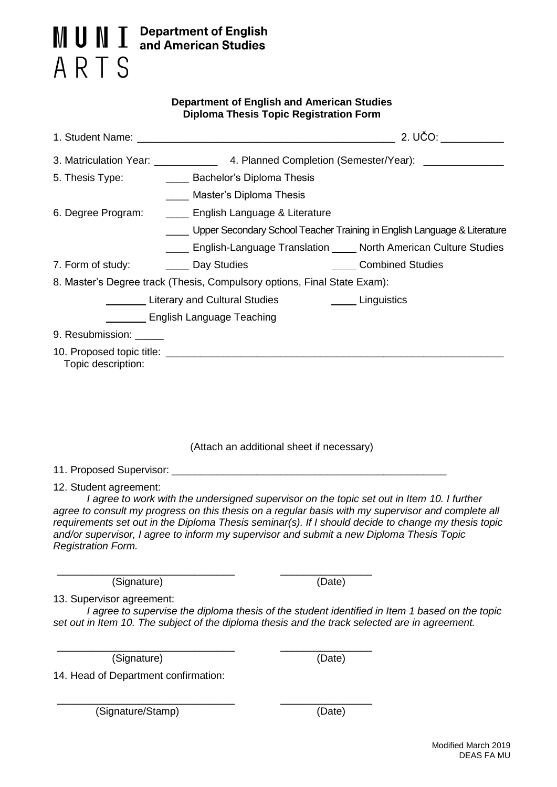# $\mathbb M$   $\mathbb U$   $\mathbb N$   $\mathbb I$  Department of English and American Studies ARTS

|                                                                                |                                                                          | 2. UCO:                                                           |
|--------------------------------------------------------------------------------|--------------------------------------------------------------------------|-------------------------------------------------------------------|
|                                                                                |                                                                          |                                                                   |
|                                                                                |                                                                          |                                                                   |
|                                                                                | _____ Master's Diploma Thesis                                            |                                                                   |
| 6. Degree Program:                                                             | <b>English Language &amp; Literature</b>                                 |                                                                   |
|                                                                                | Upper Secondary School Teacher Training in English Language & Literature |                                                                   |
|                                                                                |                                                                          | English-Language Translation _____ North American Culture Studies |
| 7. Form of study: __________ Day Studies                                       |                                                                          | <b>Combined Studies</b>                                           |
|                                                                                | 8. Master's Degree track (Thesis, Compulsory options, Final State Exam): |                                                                   |
| Literary and Cultural Studies <b>Constanting Literary and Cultural Studies</b> |                                                                          |                                                                   |
|                                                                                | English Language Teaching                                                |                                                                   |
| 9. Resubmission:                                                               |                                                                          |                                                                   |
| Topic description:                                                             |                                                                          |                                                                   |

(Attach an additional sheet if necessary)

### 11. Proposed Supervisor:

12. Student agreement:

*I agree to work with the undersigned supervisor on the topic set out in Item 10. I further agree to consult my progress on this thesis on a regular basis with my supervisor and complete all requirements set out in the Diploma Thesis seminar(s). If I should decide to change my thesis topic and/or supervisor, I agree to inform my supervisor and submit a new Diploma Thesis Topic Registration Form.*

\_\_\_\_\_\_\_\_\_\_\_\_\_\_\_\_\_\_\_\_\_\_\_\_\_\_\_\_\_\_\_ \_\_\_\_\_\_\_\_\_\_\_\_\_\_\_\_ (Signature) (Date)

13. Supervisor agreement:

*I agree to supervise the diploma thesis of the student identified in Item 1 based on the topic set out in Item 10. The subject of the diploma thesis and the track selected are in agreement.*

\_\_\_\_\_\_\_\_\_\_\_\_\_\_\_\_\_\_\_\_\_\_\_\_\_\_\_\_\_\_\_ \_\_\_\_\_\_\_\_\_\_\_\_\_\_\_\_

(Signature) (Date)

14. Head of Department confirmation:

\_\_\_\_\_\_\_\_\_\_\_\_\_\_\_\_\_\_\_\_\_\_\_\_\_\_\_\_\_\_\_ \_\_\_\_\_\_\_\_\_\_\_\_\_\_\_\_ (Signature/Stamp) (Date)